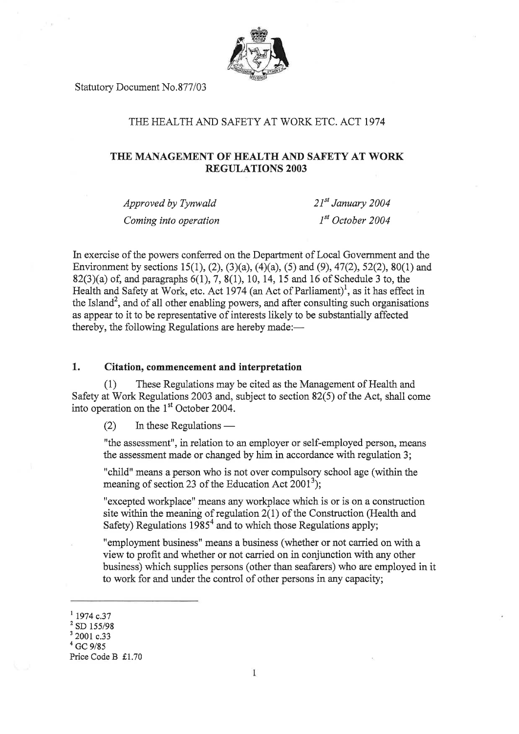

Statutory Document No.877/03

# THE HEALTH AND SAFETY AT WORK ETC. ACT 1974

# THE MANAGEMENT OF HEALTH AND SAFETY AT WORK REGULATIONS 2OO3

Approved by Tynwald Coming into operation  $21^{st}$  January 2004  $I<sup>st</sup> October 2004$ 

In exercise of the powers conferred on the Department of Local Government and the Environment by sections 15(1), (2), (3)(a), (4)(a), (5) and (9), 47(2), 52(2), 80(1) and 82(3)(a) of, and paragraphs  $6(1)$ , 7,  $8(1)$ , 10, 14, 15 and 16 of Schedule 3 to, the Health and Safety at Work, etc. Act 1974 (an Act of Parliament)<sup>1</sup>, as it has effect in the Island<sup>2</sup>, and of all other enabling powers, and after consulting such organisations as appear to it to be representative of interests likely to be substantially affected thereby, the following Regulations are hereby made:—

# 1. Citation, commencement and interpretation

(1) These Regulations may be cited as the Management of Health and Safety at Work Regulations 2003 and, subject to section 82(5) of the Act, shall come into operation on the  $1<sup>st</sup>$  October 2004.

(2) In these Regulations –

"the assessment", in relation to an employer or self-employed person, means the assessment made or changed by him in accordance with regulation 3;

"child" means a person who is not over compulsory school age (within the meaning of section 23 of the Education Act  $2001<sup>3</sup>$ ;

"excepted workplace" means any workplace which is or is on a construction site within the meaning of regulation 2(1) of the Construction (Health and Safety) Regulations  $1985<sup>4</sup>$  and to which those Regulations apply;

"employment business" means a business (whether or not carried on with a view to profit and whether or not carried on in conjunction with any other business) which supplies persons (other than seafarers) who are employed in it to work for and under the control of other persons in any capacity;

 $\frac{1}{2}$  1974 c.37<br> $\frac{2}{3}$  SD 155/98<br> $\frac{3}{2}$  2001 c.33

 $^{4}$  GC 9/85

Price Code B £1.70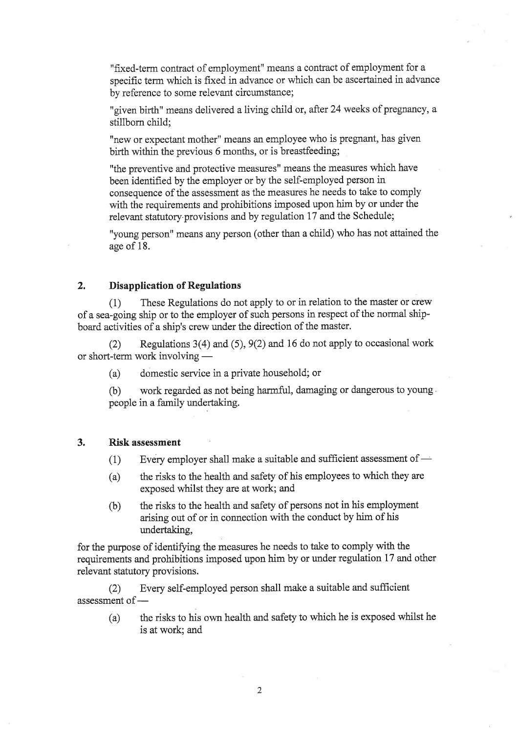"fixed-term contract of employment" means a contract of employment for <sup>a</sup> specific term which is fixed in advance or which can be ascertained in advance by reference to some relevant circumstance;

"given birth" means delivered a living child or, after 24 weeks of pregnancy, <sup>a</sup> stillborn child;

"new or expectant mother" means an employee who is pregnant, has given birth within the previous 6 months, or is breastfeeding;

"the preventive and protective measures" means the measures which have been identified by the employer or by the self-employed person in consequence of the assessment as the measwes he needs to take to comply with the requirements and prohibitions imposed upon him by or under the relevant statutory provisions and by regulation 17 and the Schedule;

"young person" means any person (other than a child) who has not attained the age of 18.

# 2, Disapplication of Regulations

(1) These Regulations do not apply to or in relation to the master or crew of a sea-going ship or to the employer of such persons in respect of the normal shipboard activities of a ship's crew under the direction of the master.

(2) Regulations  $3(4)$  and  $(5)$ ,  $9(2)$  and 16 do not apply to occasional work or short-term work involving –

(a) domestic service in a private household; or

(b) work regarded as not being harmful, damaging or dangerous to young people in a family undertaking.

### 3. Risk assessment

- (1) Every employer shall make a suitable and sufficient assessment of -
- (a) the risks to the health and safety of his employees to which they are exposed whilst they are at work; and
- (b) the risks to the health and safety of persons not in his employment arising out of or in connection with the conduct by him of his undertaking,

for the purpose of identiffing the measures he needs to take to comply with the requirements and prohibitions imposed upon him by or under regulation 17 and other relevant statutory provisions.

(2) Every self-employed person shall make a suitable and sufficient assessment of -

(a) the risks to his own health and safety to which he is exposed whilst he is at work; and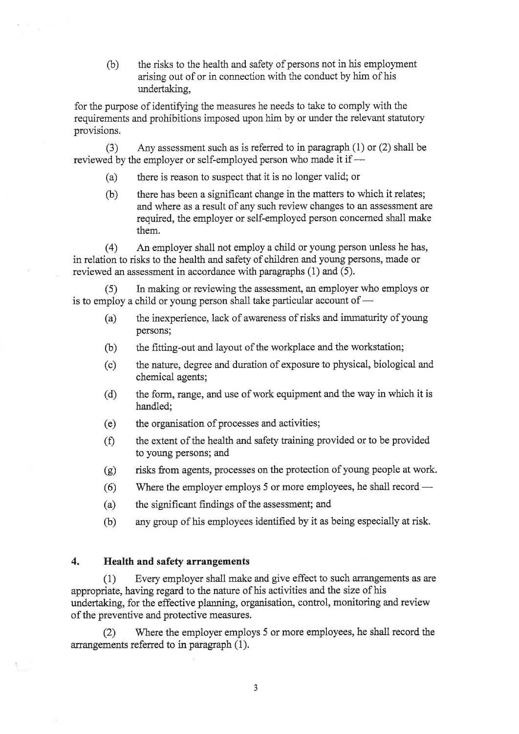(b) the risks to the health and safety of persons not in his employment arising out of or in connection with the conduct by him of his undertaking,

for the purpose of identifying the measures he needs to take to comply with the requirements and prohibitions imposed upon him by or under the relevant statutory provisions.

(3) Any assessment such as is referred to in paragraph (1) or (2) shall be reviewed by the employer or self-employed person who made it if -

- (a) there is reason to suspect that it is no longer valid; or
- (b) there has been a significant change in the matters to which it relates; and where as a result of any such review changes to an assessment are required, the employer or self-employed person concerned shall make them.

(4) An employer shall not employ a child or young person unless he has, in relation to risks to the health and safety of children and young persons, made or reviewed an assessment in accordance with paragraphs (1) and (5).

In making or reviewing the assessment, an employer who employs or is to employ a child or young person shall take particular account of -

- (a) the inexperience, lack of awareness of risks and immaturity of young persons;
- (b) the fitting-out and layout of the workplace and the workstation;
- (c) the nature, degree and dwation of exposure to physical, biological and chemical agents;
- (d) the form, range, and use of work equipment and the way in which it is handled;
- (e) the organisation of processes and activities;
- (Ð the extent of the health and safety training provided or to be provided to young persons; and
- (g) risks from agents, processes on the protection of young people at work.
- (6) 'Where the employer employs 5 or more employees, he shall record -
- (a) the significant findings of the assessment; and
- (b) any group of his employees identified by it as being especially at risk.

# 4. Health and safefy arrangements

(1) Every employer shall make and give effect to such arangements as are appropriate, having regard to the nature of his activities and the size of his undertaking, for the effective planning, organisation, control, monitoring and review of the preventive and protective measures.

Ø Where the employer employs 5 or more employees, he shall record the arrangements referred to in paragraph (1).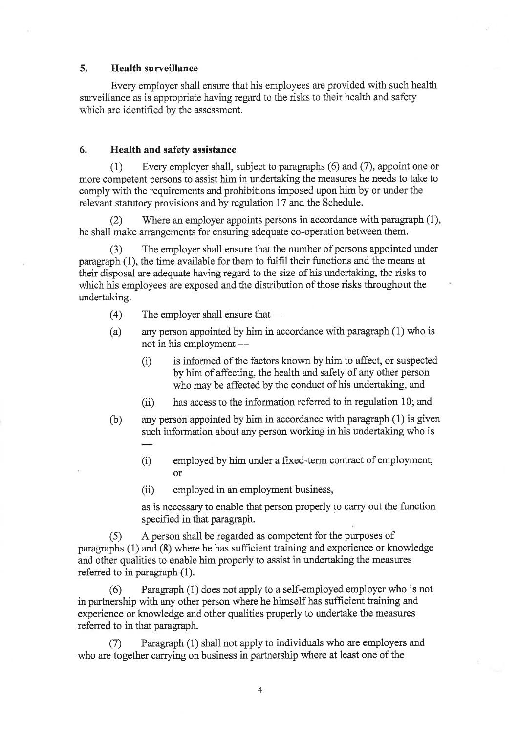# 5. Health surveillance

Every employer shall ensure that his employees are provided with such health surveillance as is appropriate having regard to the risks to their health and safety which are identified by the assessment.

# 6, Health and safety assistance

(1) Every employer shall, subject to paragraphs (6) and (7), appoint one or more competent persons to assist him in undertaking the measures he needs to take to compiy with the requirements and prohibitions imposed upon him by or under the relevant statutory provisions and by regulation 17 and the Schedule.

(2) Where an employer appoints persons in accordance with paragraph (1), he shall make arrangements for ensuring adequate co-operation between them.

The employer shall ensure that the number of persons appointed under paragraph (1), the time available for them to fulfil their functions and the means at their disposal are adequate having regard to the size of his undertaking, the risks to which his employees are exposed and the distribution of those risks throughout the undertaking.

- (4) The employer shall ensure that -
- (a) any person appointed by him in accordance with paragraph (1) who is not in his employment –
	- (i) is informed of the factors known by him to affect, or suspected by him of affecting, the health and safety of any other person who may be affected by the conduct of his undertaking, and
	- $(iii)$  has access to the information referred to in regulation 10; and
- (b) any person appointed by him in accordance with paragraph (1) is given such information about any person working in his undertaking who is
	- (i) employed by him under a fixed-term contract of employment, or
	- (ii) employed in an employment business,

as is necessary to enable that person properly to carry out the function specified in that paragraph.

(5) <sup>A</sup>person shall be regarded as competent for the purposes of paragraphs (1) and (8) where he has sufficient training and experience or knowledge and other qualities to enable him properly to assist in undertaking the measures referred to in paragraph (1).

Paragraph (1) does not apply to a self-employed employer who is not in partnership with any other person where he himself has sufficient training and experience or knowledge and other qualities properly to undertake the measures referred to in that paragraph.

Paragraph (1) shall not apply to individuals who are employers and who are together carrying on business in partnership where at least one of the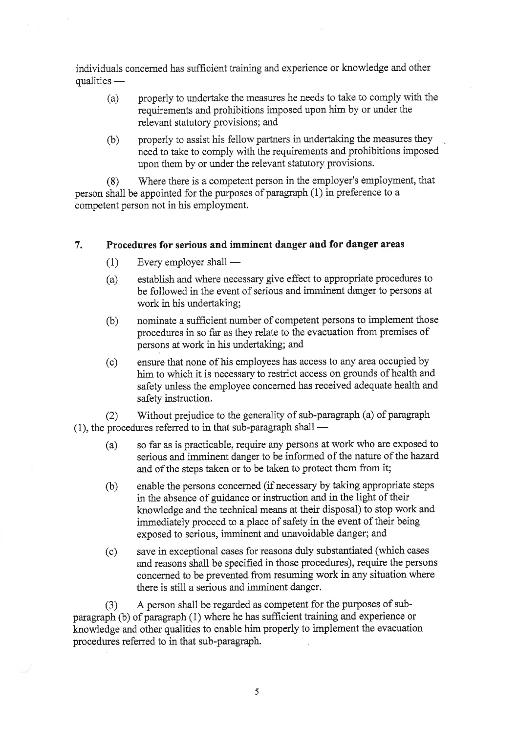individuals concerned has sufficient training and experience or knowledge and other qualities -

- (a) properly to undertake the measures he needs to take to comply with the requirements and prohibitions imposed upon him by or under the relevant statutory provisions; and
- (b) properly to assist his fellow partners in undertaking the measures they need to take to comply with the requirements and prohibitions imposed upon them by or under the relevant statutory provisions.

(8) Where there is a competent person in the employer's employment, that person shall be appointed for the purposes of paragraph  $(1)$  in preference to a competent person not in his employment.

### 7. Procedures for serious and imminent danger and for danger areas

- (1) Every employer shall -
- (a) establish and where necessary give effect to appropriate procedures to be followed in the event of serious and imminent danger to persons at work in his undertaking;
- (b) nominate a sufficient number of competent persons to implement those procedures in so far as they relate to the evacuation from premises of persons at work in his undertaking; and
- (c) ensure that none of his employees has access to any area occupied by him to which it is necessary to restrict access on grounds of health and safety unless the employee concerned has received adequate health and safety instruction.

(2) Without prejudice to the generality of sub-paragraph (a) of paragraph (1), the procedures referred to in that sub-paragraph shall –

- (a) so far as is practicable, require any persons at work who are exposed to serious and imminent danger to be informed of the nature of the hazard and of the steps taken or to be taken to protect them from it;
- (b) enable the persons concemed (if necessary by taking appropriate steps in the absence of guidance or instruction and in the light of their knowledge and the technical means at their disposal) to stop work and immediately proceed to a place of safety in the event of their being exposed to serious, imminent and unavoidable danger; and
- (c) save in exceptional cases for reasons duly substantiated (which cases and reasons shall be specified in those procedures), require the persons concemed to be prevented from resuming work in any situation where there is still a serious and imminent danger.

(3) <sup>A</sup>person shall be regarded as competent for the purposes of subparagraph (b) of paragraph (1) where he has sufficient training and experience or knowledge and other qualities to enable him properly to implement the evacuation procedwes referred to in that sub-paragraph.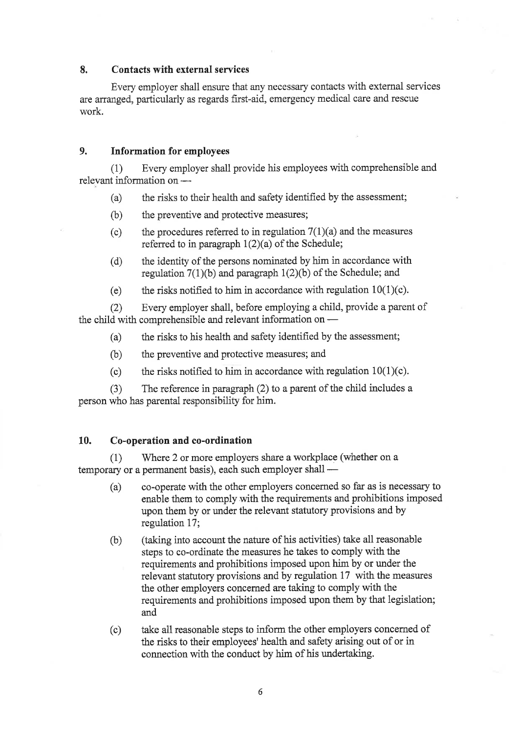# 8. Contacts with external services

Every employer shall ensure that any necessary contacts with extemal services are arranged, particularly as regards first-aid, emergency medical care and rescue work.

# 9. Information for employees

(1) Every employer shall provide his employees with comprehensible and relevant information on -

- (a) the risks to their health and safety identified by the assessment;
- (b) the preventive and protective measures;
- (c) the procedures referred to in regulation  $7(1)(a)$  and the measures referred to in paragraph  $1(2)(a)$  of the Schedule;
- (d) the identity of the persons nominated by him in accordance with regulation  $7(1)(b)$  and paragraph  $1(2)(b)$  of the Schedule; and
- (e) the risks notified to him in accordance with regulation  $10(1)(c)$ .

(2) Every employer shall, before employing a child, provide a parent of the child with comprehensible and relevant information on  $-$ 

- (a) the risks to his health and safety identified by the assessment;
- (b) the preventive and protective measures; and
- (c) the risks notified to him in accordance with regulation  $10(1)(c)$ .

(3) The reference in paragraph (2) to a parent of the child includes <sup>a</sup> person who has parental responsibility for him.

# 10. Co-operation and co-ordination

 $(1)$  Where 2 or more employers share a workplace (whether on a temporary or a perrnanent basis), each such employer shall -

- (a) co-operate with the other employers concemed so far as is necessary to enable them to comply with the requirements and prohibitions imposed upon them by or under the relevant statutory provisions and by regulation 17;
- (b) (taking into account the nature of his activities) take all reasonable steps to co-ordinate the measures he takes to comply with the requirements and prohibitions imposed upon him by or under the relevant statutory provisions and by regulation 17 with the measures the other employers concemed are taking to comply with the requirements and prohibitions imposed upon them by that legislation; and
- (c) take all reasonable steps to inform the other employers concerned of the risks to their employees' health and safety arising out of or in connection with the conduct by him of his undertaking.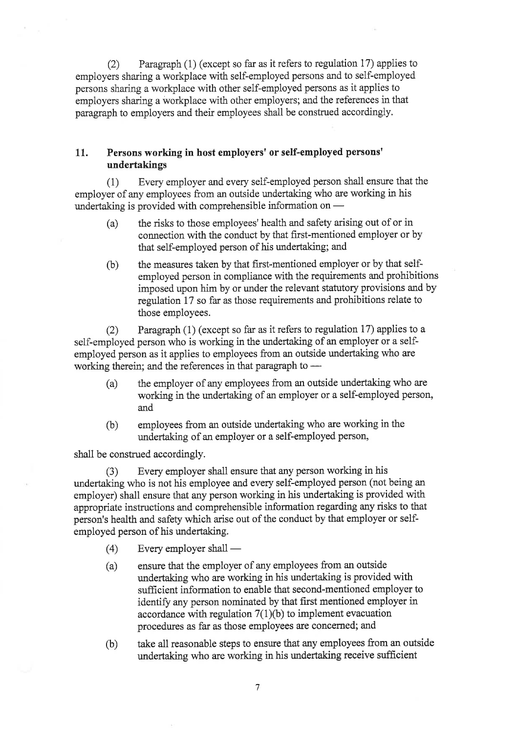(2) Paragraph  $(1)$  (except so far as it refers to regulation 17) applies to employers sharing a workplace with self-employed persons and to self-employed persons sharing a workplace with other self-employed persons as it applies to employers sharing a workplace with other employers; and the references in that paragraph to employers and their employees shall be construed accordingly.

# 11. Persons working in host employers' or self-employed persons' undertakings

(1) Every employer and every self-employed person shall ensure that the employer of any employees from an outside undertaking who are working in his undertaking is provided with comprehensible information on -

- (a) the risks to those employees'health and safety arising out of or in connection with the conduct by that first-mentioned employer or by that self-employed person of his undertaking; and
- (b) the measures taken by that first-mentioned employer or by that selfemployed person in compliance with the requirements and prohibitions imposed upon him by or under the relevant statutory provisions and by regulation 17 so far as those requirements and prohibitions relate to those employees.

(2) Paragraph (1) (except so far as it refers to regulation 17) applies to <sup>a</sup> self-employed person who is working in the undertaking of an employer or a selfemployed person as it applies to employees from an outside undertaking who are working therein; and the references in that paragraph to -

- (a) the employer of any employees from an outside undertaking who are working in the undertaking of an employer or a self-employed person, and
- (b) employees from an outside undertaking who are working in the undertaking of an employer or a self-employed person,

shall be construed accordingly.

(3) Every employer shall ensure that any person working in his undertaking who is not his employee and every self-employed person (not being an employer) shall ensure that any person working in his undertaking is provided with appropriate instructions and comprehensible information regarding any risks to that person's health and safety which arise out of the conduct by that employer or selfemployed person of his undertaking.

- (4) Every employer shall -
- (a) ensure that the employer of any employees from an outside undertaking who are working in his undertaking is provided with sufficient information to enable that second-mentioned employer to identify any person nominated by that first mentioned employer in accordance with regulation  $7(1)(b)$  to implement evacuation procedures as far as those employees are concerned; and
- (b) take all reasonable steps to ensure that any employees from an outside undertaking who are working in his undertaking receive sufficient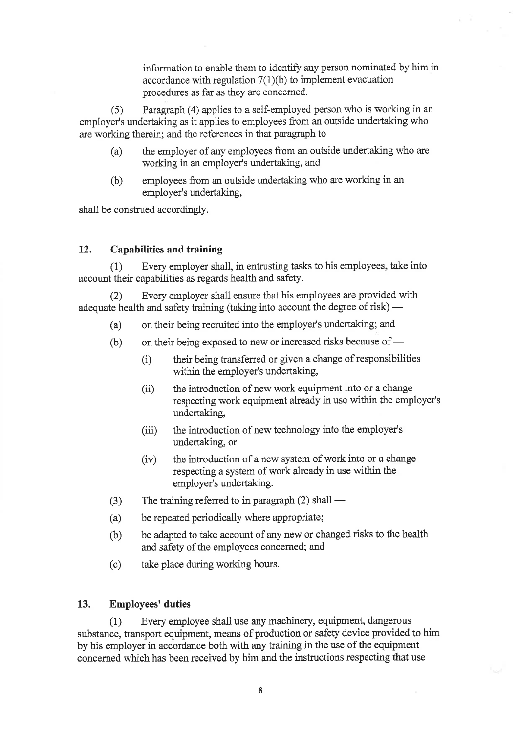information to enable them to identify any person nominated by him in accordance with regulation  $7(1)(b)$  to implement evacuation procedures as far as they are concerned.

(5) Paragraph (4) applies to a self-employed person who is working in an employer's undertaking as it applies to employees from an outside undertaking who are working therein; and the references in that paragraph to –

- (a) the employer of any employees from an outside undertaking who are working in an employer's undertaking, and
- (b) employees from an outside undertaking who are working in an employer's undertaking,

shall be construed accordingly.

# 12. Capabilities and training

(1) Every employer shall, in entrusting tasks to his employees, take into account their capabilities as regards health and safety.

(2) Every employer shall ensure that his employees are provided with adequate health and safety training (taking into account the degree of risk) –

- (a) on their being recruited into the employer's undertaking; and
- (b) on their being exposed to new or increased risks because of -
	- (i) their being transferred or given a change of responsibilities within the employer's undertaking,
	- (ii) the introduction of new work equipment into or a change respecting work equipment already in use within the employer's undertaking,
	- (iii) the introduction of new technology into the employer's undertaking, or
	- $(iv)$  the introduction of a new system of work into or a change respecting a system of work already in use within the employer's undertaking.
- (3) The training referred to in paragraph (2) shall -
- (a) be repeated periodically where appropriate;
- (b) be adapted to take account of any new or changed risks to the health and safety of the employees concerned; and
- (c) take place during working hours.

# 13. Employees'duties

(1) Every employee shall use any machinery, equipment, dangerous substance, transport equipment, means of production or safety device provided to him by his employer in accordance both with any training in the use of the equipment concerned which has been received by him and the instructions respecting that use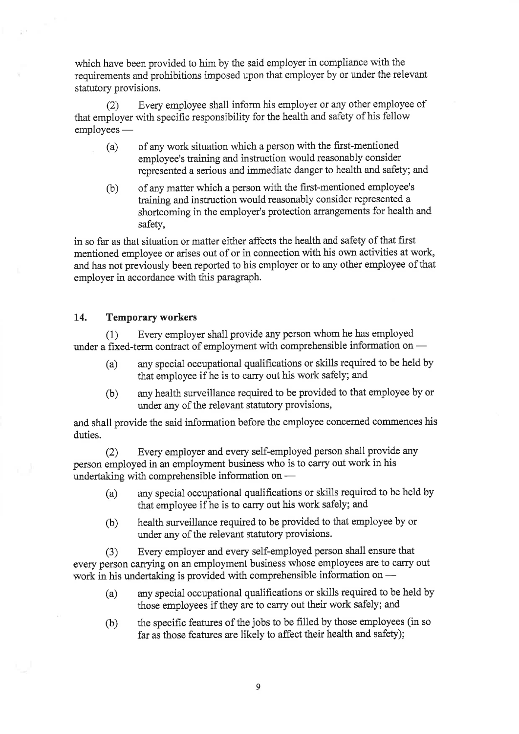which have been provided to him by the said employer in compliance with the requirements and prohibitions imposed upon that employer by or under the relevant statutory provisions,

(2) Every employee shall inform his employer or any other employee of that employer with specific responsibility for the health and safety of his fellow employees -

- (a) of any work situation which a person with the first-mentioned employee's training and instruction would reasonably consider represented a serious and immediate danger to health and safety; and
- (b) of any matter which a person with the first-mentioned employee's training and instruction would reasonably consider represented a shortcoming in the employer's protection arrangements for health and safety,

in so far as that situation or matter either affects the health and safety of that first mentioned employee or arises out of or in connection with his own activities at work, and has not previously been reported to his employer or to any other employee of that employer in accordance with this paragraph.

# 14. Temporary workers

(1) Every employer shall provide any person whom he has employed under a fixed-term contract of employment with comprehensible information on  $-$ 

- (a) any special occupational qualifrcations or skills required to be held by that employee if he is to carry out his work safely; and
- (b) any health surveillance required to be provided to that employee by or under any of the relevant statutory provisions,

and shall provide the said information before the employee concerned commences his duties.

Ø Every employer and every self-employed person shall provide any person employed in an employment business who is to carry out work in his undertaking with comprehensible information on -

- (a) any special occupational qualifications or skills required to be held by that employee if he is to carry out his work safely; and
- (b) health surveillance required to be provided to that employee by or under any of the relevant statutory provisions.

(3) Every employer and every self-employed person shall ensure that every person carrying on an employment business whose employees are to carry out work in his undertaking is provided with comprehensible information on –

- (a) any special occupational qualifications or skills required to be held by those employees if they are to carry out their work safely; and
- (b) the specific features of the jobs to be filled by those employees (in so far as those features are likely to affect their health and safety);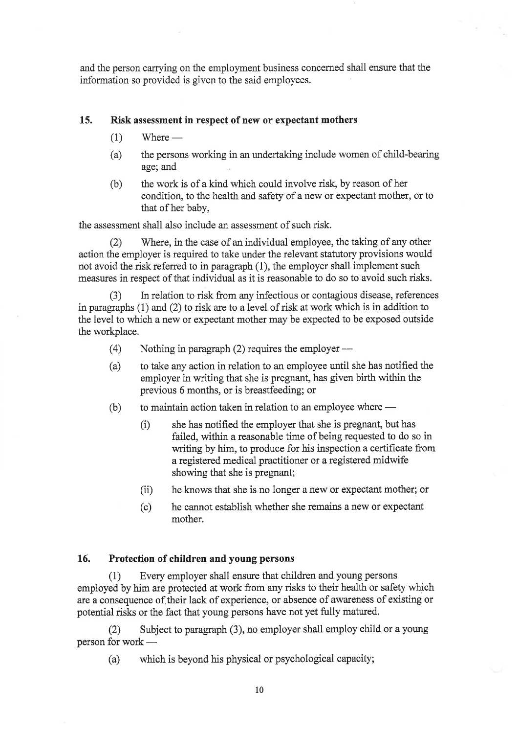and the person carrying on the employment business concerned shall ensure that the information so provided is given to the said employees.

# 15. Risk assessment in respect of new or expectant mothers

- (1) Where -
- (a) the persons working in an undertaking include women of child-bearing age; and
- (b) the work is of a kind which could involve risk, by reason of her condition, to the health and safety of a new or expectant mother, or to that of her baby,

the assessment shall also include an assessment of such risk.

(2) Where, in the case of an individual employee, the taking of any other action the employer is required to take under the relevant statutory provisions would not avoid the risk referred to in paragraph (1), the employer shall implement such measures in respect of that individual as it is reasonable to do so to avoid such risks.

In relation to risk from any infectious or contagious disease, references in paragraphs (1) and (2) to risk are to a level of risk at work which is in addition to the level to which a new or expectant mother may be expected to be exposed outside the workplace.

- (4) Nothing in paragraph (2) requires the employer -
- (a) to take any action in relation to an employee until she has notified the employer in writing that she is pregnant, has given birth within the previous 6 months, or is breastfeeding; or
- (b) to maintain action taken in relation to an employee where -
	- (i) she has notified the employer that she is pregnant, but has failed, within a reasonable time of being requested to do so in writing by him, to produce for his inspection a certificate from a registered medical practitioner or a registered midwife showing that she is pregnant;
	- (ii) he knows that she is no longer a new or expectant mother; or
	- (c) he cannot establish whether she remains a new or expectant mother.

### 16. Protection of children and young persons

(1) Every employer shall ensure that children and young persons employed by him are protected at work from any risks to their health or safety which are a consequence of their lack of experience, or absence of awareness of existing or potential risks or the fact that young persons have not yet fully matured.

(2) Subject to paragraph (3), no employer shall employ child or a young person for work -

(a) which is beyond his physical or psychological capacity;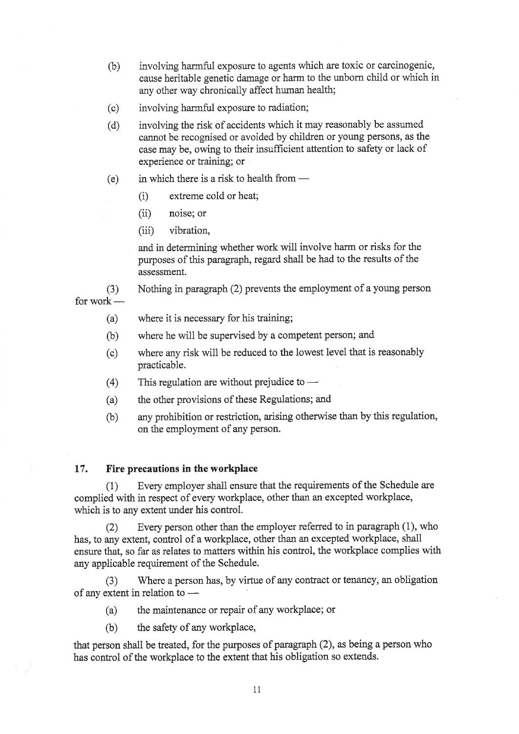- (b) involving harmful exposure to agents which are toxic or carcinogenic, cause heritable genetic damage or harm to the unborn child or which in any other way chronically affect human health;
- (c) involving harmful exposure to radiation;
- (d) involving the risk of accidents which it may reasonably be assumed cannot be recognised or avoided by children or young persons, as the case may be, owing to their insufficient attention to safety or lack of experience or training; or
- (e) in which there is a risk to health from -
	- (i) extreme cold or heat;
	- (ii) noise; or
	- (iii) vibration,

and in determining whether work will involve harm or risks for the purposes of this paragraph, regard shall be had to the results of the assessment.

Nothing in paragraph (2) prevents the employment of a young person (3) for work -

- where it is necessary for his training; (a)
- where he will be supervised by a competent person; and (b)
- where any risk will be reduced to the lowest level that is reasonably practicable. (c)
- This regulation are without prejudice to (4)
- the other provisions of these Regulations; and (a)
- any prohibition or restriction, arising otherwise than by this regulation, on the employment of any person. (b)

# 17. Fire precautions in the workplace

(1) Every employer shall ensure that the requirements of the Schedule are complied with in respect of every workplace, other than an excepted workplace, which is to any extent under his control.

(2) Every person other than the employer referred to in paragraph (1), who has, to any extent, control of a workplace, other than an excepted workplace, shall ensure that, so far as relates to matters within his control, the workplace complies with any applicable requirement of the Schedule.

(3) Where a person has, by virtue of any contract or tenancy, an obligation of any extent in relation to –

- (a) the maintenance or repair of any workplace; or
- (b) the safety of any workplace,

that person shall be treated, for the purposes of paragraph $(2)$ , as being a person who has control of the workplace to the extent that his obligation so extends.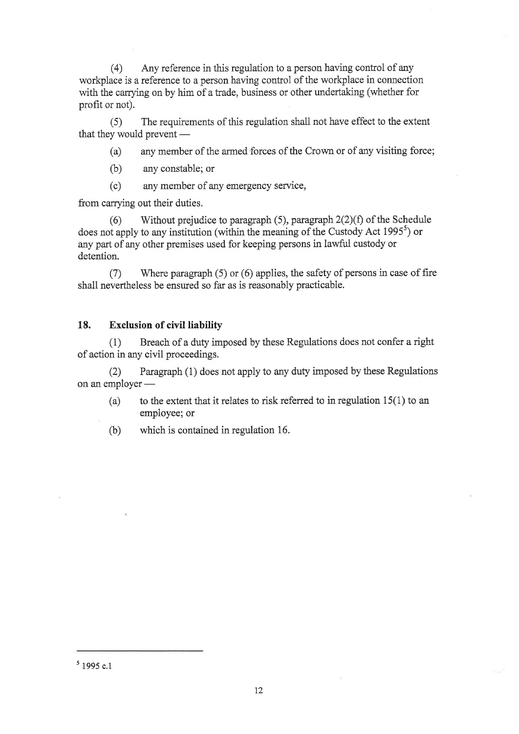(4) Any reference in this regulation to a person having control of any workplace is a reference to a person having control of the workplace in connection with the carrying on by him of a trade, business or other undertaking (whether for profit or not).

(5) The requirements of this regulation shali not have effect to the extent that they would prevent -

(a) any member of the armed forces of the Crown or of any visiting force;

(b) any constable; or

(c) any member of any emergency service,

from carrying out their duties.

(6) Without prejudice to paragraph (5), paragraph  $2(2)(f)$  of the Schedule does not apply to any institution (within the meaning of the Custody Act 1995<sup>5</sup>) or any part of any other premises used for keeping persons in lawfui custody or detention.

(7) Where paragraph (5) or (6) applies, the safety of persons in case of fire shall nevertheless be ensured so far as is reasonably practicable.

# 18. Exclusion of civil liability

 $(1)$  Breach of a duty imposed by these Regulations does not confer a right of action in any civil proceedings.

Ø Paragraph (1) does not apply to any duty imposed by these Regulations on an employer -

(a) to the extent that it relates to risk referred to in regulation  $15(1)$  to an employee; or

(b) which is contained in regulation 16.

 $5$  1995 c.1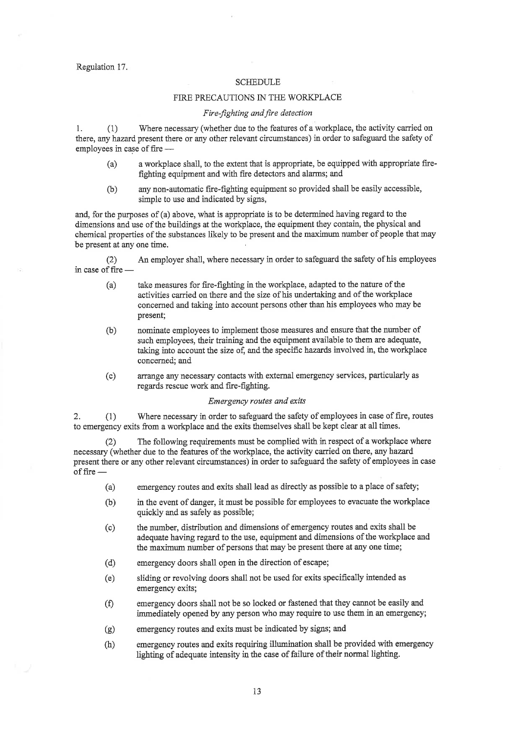#### Regulation 17.

#### **SCHEDULE**

#### FIRE PRECAUTIONS IN THE WORKPLACE

#### Fire-fighting and fire detection

1. (1) Where necessary (whether due to the features of a workplace, the activity carried on there, any hazard present there or any other relevant circumstances) in order to safeguard the safety of employees in case of fire –

- (a) a workplace shall, to the extent that is appropriate, be equipped with appropriate firefighting equipment and with fire detectors and alarms; and
- (b) any non-automatic fire-fighting equipment so provided shall be easily accessible, simple to use and indicated by signs,

and, for the purposes of (a) above, what is appropriate is to be determined having regard to the dimensions and use of the buildings at the workplace, the equipment they contain, the physical and chemical properties of the substances likely to be present and the maximum number of people that may be present at any one time.

(2) An employer shall, where necessary in order to safeguard the safety of his employees in case of fire  $-$ 

- (a) take measures for fire-fighting in the workplace, adapted to the nature of the activities carried on there and the size of his undertaking and of the workplace concemed and taking into account persons other than his employees who may be present;
- (b) nominate employees to implement those measures and ensure that the number of such employees, their training and the equipment available to them are adequate, taking into account the size of, and the specific hazards involved in, the workplace concemed; and
- (c) arrange any necessary contacts with external emergency services, particularly as regards rescue work and fire-fighting.

#### Emergency routes and exits

2. (1) Where necessary in order to safeguard the safety of employees in case of fire, routes to emergency exits from a workplace and the exits themselves shall be kept clear at all times.

(2) The following requirements must be complied with in respect of a workplace where necessary (whether due to the features of the workplace, the activity carried on there, any hazard present there or any other relevant circumstances) in order to safeguard the safety of employees in case offire -

- (a) emergency routes and exits shall lead as directly as possible to a place of safety;
- (b) in the event of danger, it must be possible for employees to evacuate the workplace quickly and as safely as possible;
- (c) the number, distribution and dimensions of emergency routes and exits shall be adequate having regard to the use, equipment and dimensions of the workplace and the maximum number of persons that may be present there at any one time;
- (d) emergency doors shall open in the direction of escape;
- (e) sliding or revolving doors shall not be used for exits specifically intended as emergency exits;
- (f) emergency doors shall not be so locked or fastened that they cannot be easily and immediately opened by any person who may require to use them in an emergency;
- (g) emergency routes and exits must be indicated by signs; and
- (h) emergency routes and exits requiring illumination shall be provided with emergency ligbting of adequate intensity in the case of failure of their normal lighting.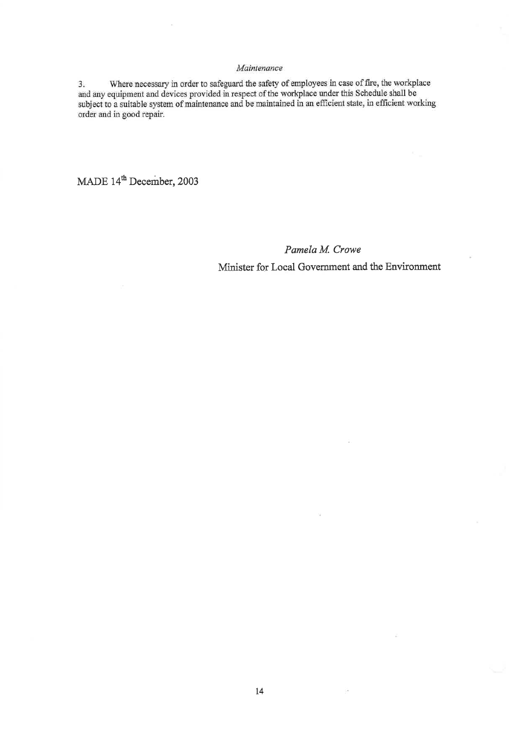#### Maintenance

3. Where necessary in order to safeguard the safety of employees in case of fire, the workplace and any equipment and devices provided in respect of the workplace under this Schedule shall be subject to a suitable system o order and in good repair.

MADE 14<sup>th</sup> December, 2003

Pamelø M. Crowe Minister for Loeal Government and the Environment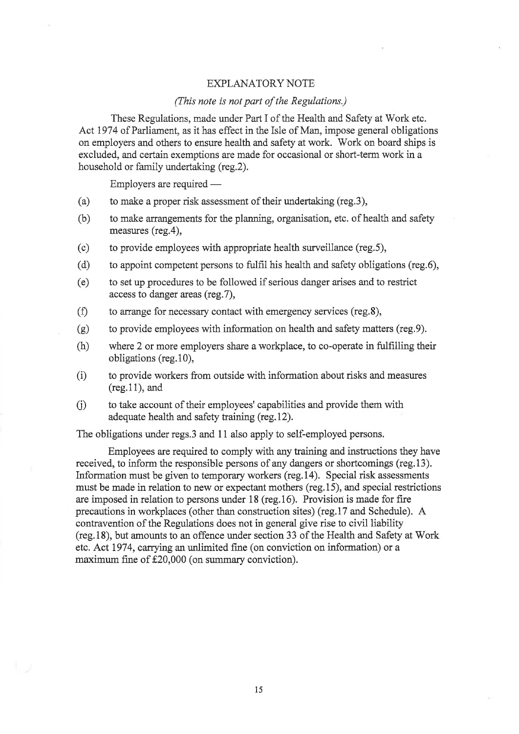# EXPLANATORY NOTE

### (Ihis note is not part of the Regulations.)

These Regulations, made under Part I of the Health and Safety at Work etc. Act 1974 of Parliament, as it has effect in the Isle of Man, impose general obligations on employers and others to ensure health and safety at work. Work on board ships is excluded, and certain exemptions are made for occasional or short-term work in a household or family undertaking (reg.2).

Employers are required -

- (a) to make a proper risk assessment of their undertaking (reg.3),
- (b) to make arrangements for the planning, organisation, etc. of health and safety measures (reg.4),
- (c) to provide employees with appropriate health surveillance (reg.5),
- (d) to appoint competent persons to fulfil his health and safety obligations (reg.6),
- (e) to set up procedures to be followed if serious danger arises and to restrict access to danger areas (reg.7),
- (Ð to arrange for necessary contact with emergency services (reg.8),
- (g) to provide employees with information on health and safety matters (reg.9).
- (h) where 2 or more employers share a workplace, to co-operate in fulfilling their obligations (reg.10),
- (i) to provide workers from outside with information about risks and measures (reg.11), and
- (i) to take account of their employees' capabilities and provide them with adequate health and safety training (reg. 12).

The obligations under regs.3 and 11 also apply to self-employed persons.

Employees are required to comply with any training and instructions they have received, to inform the responsible persons of any dangers or shortcomings (reg.13). Information must be given to temporary workers (reg.14). Special risk assessments must be made in relation to new or expectant mothers (reg.15), and special restrictions are imposed in relation to persons under 18 (reg.16). Provision is made for fire precautions in workplaces (other than construction sites) (reg.17 and Schedule). A contravention of the Regulations does not in general give rise to civil liability (reg.18), but amounts to an offence under section 33 of the Health and Safety at'Work etc. Act 1974, carrying an unlimited fhe (on conviction on information) or <sup>a</sup> maximum fine of  $£20,000$  (on summary conviction).